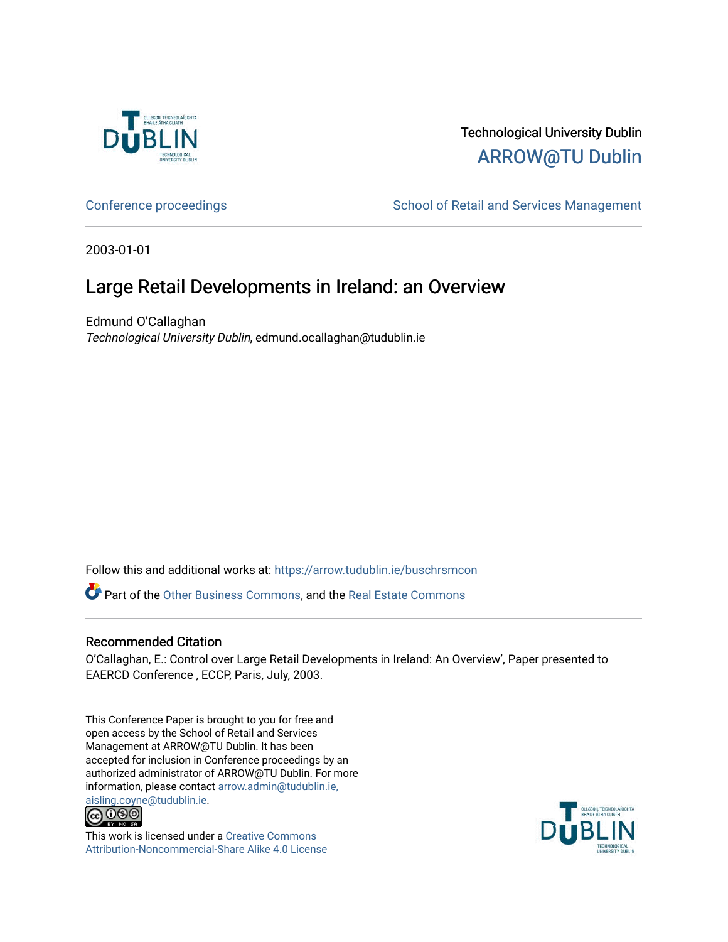

# Technological University Dublin [ARROW@TU Dublin](https://arrow.tudublin.ie/)

[Conference proceedings](https://arrow.tudublin.ie/buschrsmcon) The School of Retail and Services Management

2003-01-01

# Large Retail Developments in Ireland: an Overview

Edmund O'Callaghan Technological University Dublin, edmund.ocallaghan@tudublin.ie

Follow this and additional works at: [https://arrow.tudublin.ie/buschrsmcon](https://arrow.tudublin.ie/buschrsmcon?utm_source=arrow.tudublin.ie%2Fbuschrsmcon%2F16&utm_medium=PDF&utm_campaign=PDFCoverPages) 

Part of the [Other Business Commons](http://network.bepress.com/hgg/discipline/647?utm_source=arrow.tudublin.ie%2Fbuschrsmcon%2F16&utm_medium=PDF&utm_campaign=PDFCoverPages), and the [Real Estate Commons](http://network.bepress.com/hgg/discipline/641?utm_source=arrow.tudublin.ie%2Fbuschrsmcon%2F16&utm_medium=PDF&utm_campaign=PDFCoverPages) 

#### Recommended Citation

O'Callaghan, E.: Control over Large Retail Developments in Ireland: An Overview', Paper presented to EAERCD Conference , ECCP, Paris, July, 2003.

This Conference Paper is brought to you for free and open access by the School of Retail and Services Management at ARROW@TU Dublin. It has been accepted for inclusion in Conference proceedings by an authorized administrator of ARROW@TU Dublin. For more information, please contact [arrow.admin@tudublin.ie,](mailto:arrow.admin@tudublin.ie,%20aisling.coyne@tudublin.ie)  [aisling.coyne@tudublin.ie.](mailto:arrow.admin@tudublin.ie,%20aisling.coyne@tudublin.ie)



This work is licensed under a [Creative Commons](http://creativecommons.org/licenses/by-nc-sa/4.0/) [Attribution-Noncommercial-Share Alike 4.0 License](http://creativecommons.org/licenses/by-nc-sa/4.0/)

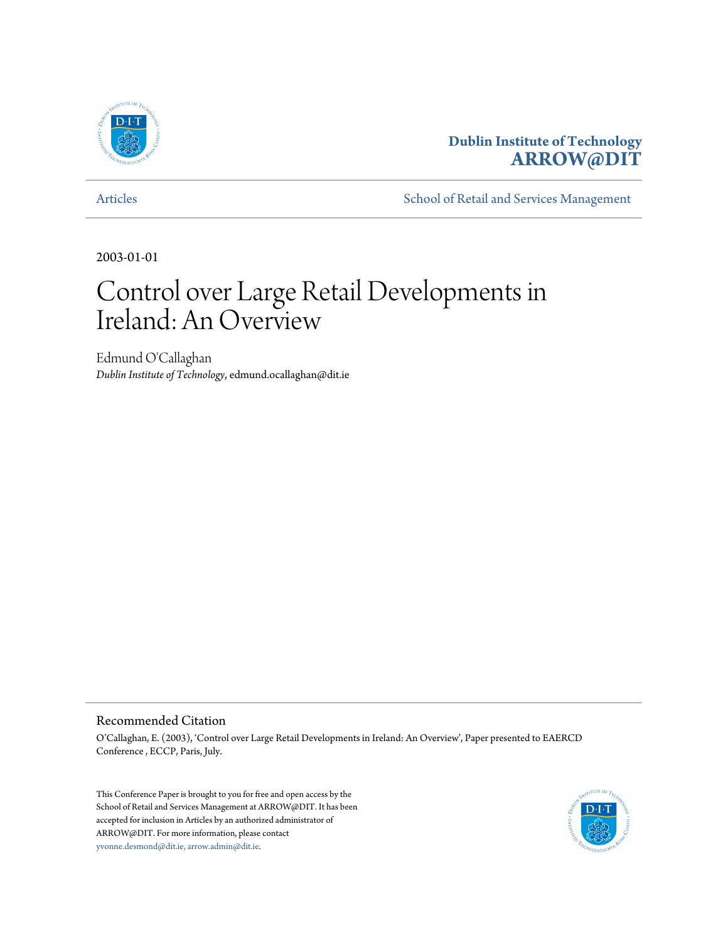

# **Dublin Institute of Technology [ARROW@DIT](http://arrow.dit.ie)**

[Articles](http://arrow.dit.ie/buschrsmart) **[School of Retail and Services Management](http://arrow.dit.ie/buschrsm)** 

2003-01-01

# Control over Large Retail Developments in Ireland: An Overview

Edmund O'Callaghan *Dublin Institute of Technology*, edmund.ocallaghan@dit.ie

#### Recommended Citation

O'Callaghan, E. (2003), 'Control over Large Retail Developments in Ireland: An Overview', Paper presented to EAERCD Conference , ECCP, Paris, July.

This Conference Paper is brought to you for free and open access by the School of Retail and Services Management at ARROW@DIT. It has been accepted for inclusion in Articles by an authorized administrator of ARROW@DIT. For more information, please contact [yvonne.desmond@dit.ie, arrow.admin@dit.ie.](mailto:yvonne.desmond@dit.ie, arrow.admin@dit.ie)

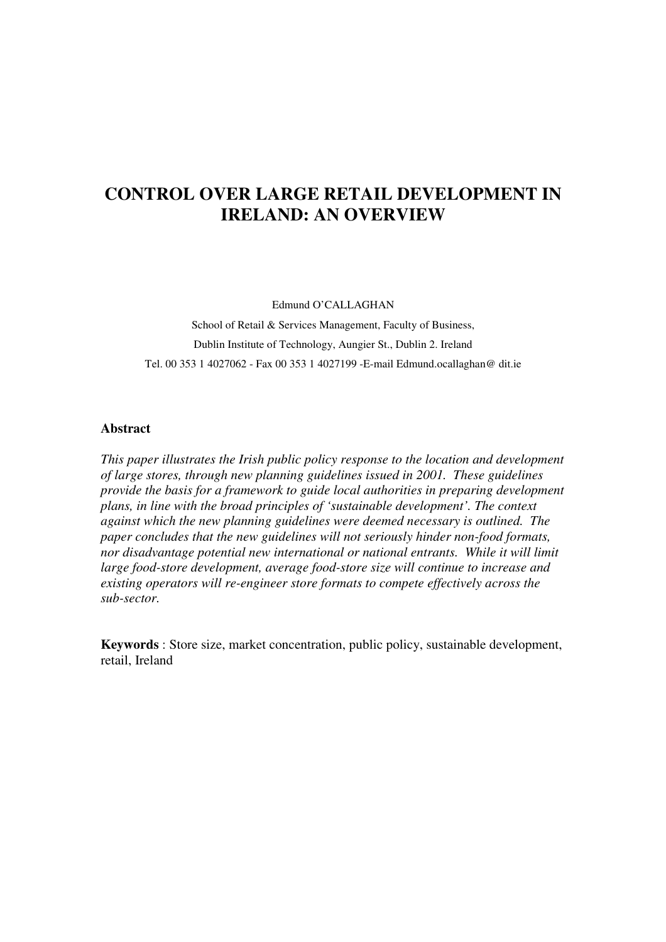# **CONTROL OVER LARGE RETAIL DEVELOPMENT IN IRELAND: AN OVERVIEW**

Edmund O'CALLAGHAN

School of Retail & Services Management, Faculty of Business, Dublin Institute of Technology, Aungier St., Dublin 2. Ireland Tel. 00 353 1 4027062 - Fax 00 353 1 4027199 -E-mail Edmund.ocallaghan@ dit.ie

#### **Abstract**

*This paper illustrates the Irish public policy response to the location and development of large stores, through new planning guidelines issued in 2001. These guidelines provide the basis for a framework to guide local authorities in preparing development plans, in line with the broad principles of 'sustainable development'. The context against which the new planning guidelines were deemed necessary is outlined. The paper concludes that the new guidelines will not seriously hinder non-food formats, nor disadvantage potential new international or national entrants. While it will limit large food-store development, average food-store size will continue to increase and existing operators will re-engineer store formats to compete effectively across the sub-sector.* 

**Keywords** : Store size, market concentration, public policy, sustainable development, retail, Ireland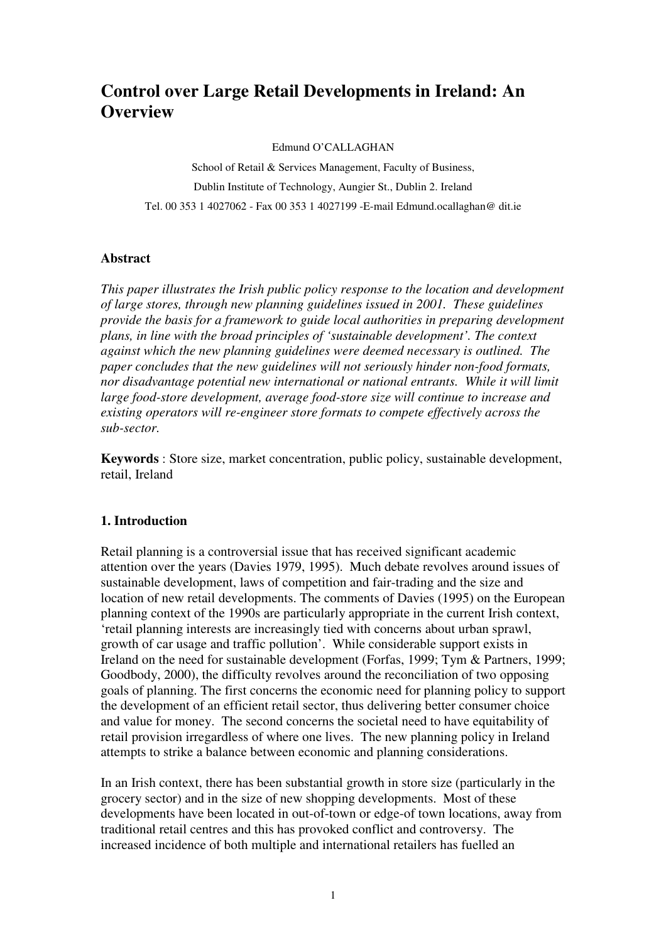# **Control over Large Retail Developments in Ireland: An Overview**

Edmund O'CALLAGHAN

School of Retail & Services Management, Faculty of Business, Dublin Institute of Technology, Aungier St., Dublin 2. Ireland Tel. 00 353 1 4027062 - Fax 00 353 1 4027199 -E-mail Edmund.ocallaghan@ dit.ie

#### **Abstract**

*This paper illustrates the Irish public policy response to the location and development of large stores, through new planning guidelines issued in 2001. These guidelines provide the basis for a framework to guide local authorities in preparing development plans, in line with the broad principles of 'sustainable development'. The context against which the new planning guidelines were deemed necessary is outlined. The paper concludes that the new guidelines will not seriously hinder non-food formats, nor disadvantage potential new international or national entrants. While it will limit large food-store development, average food-store size will continue to increase and existing operators will re-engineer store formats to compete effectively across the sub-sector.* 

**Keywords** : Store size, market concentration, public policy, sustainable development, retail, Ireland

#### **1. Introduction**

Retail planning is a controversial issue that has received significant academic attention over the years (Davies 1979, 1995). Much debate revolves around issues of sustainable development, laws of competition and fair-trading and the size and location of new retail developments. The comments of Davies (1995) on the European planning context of the 1990s are particularly appropriate in the current Irish context, 'retail planning interests are increasingly tied with concerns about urban sprawl, growth of car usage and traffic pollution'. While considerable support exists in Ireland on the need for sustainable development (Forfas, 1999; Tym & Partners, 1999; Goodbody, 2000), the difficulty revolves around the reconciliation of two opposing goals of planning. The first concerns the economic need for planning policy to support the development of an efficient retail sector, thus delivering better consumer choice and value for money. The second concerns the societal need to have equitability of retail provision irregardless of where one lives. The new planning policy in Ireland attempts to strike a balance between economic and planning considerations.

In an Irish context, there has been substantial growth in store size (particularly in the grocery sector) and in the size of new shopping developments. Most of these developments have been located in out-of-town or edge-of town locations, away from traditional retail centres and this has provoked conflict and controversy. The increased incidence of both multiple and international retailers has fuelled an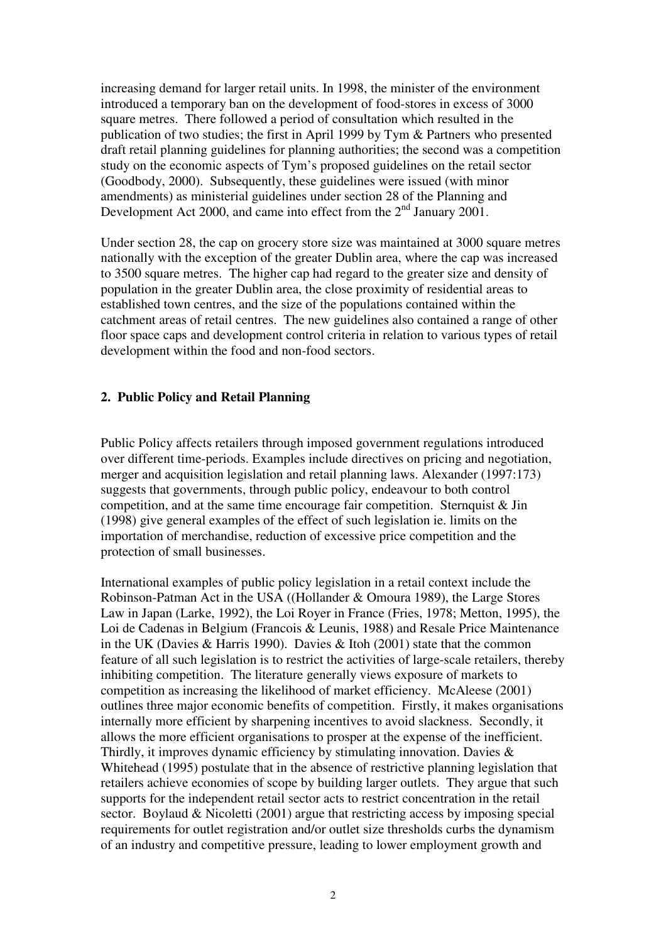increasing demand for larger retail units. In 1998, the minister of the environment introduced a temporary ban on the development of food-stores in excess of 3000 square metres. There followed a period of consultation which resulted in the publication of two studies; the first in April 1999 by Tym & Partners who presented draft retail planning guidelines for planning authorities; the second was a competition study on the economic aspects of Tym's proposed guidelines on the retail sector (Goodbody, 2000). Subsequently, these guidelines were issued (with minor amendments) as ministerial guidelines under section 28 of the Planning and Development Act 2000, and came into effect from the 2<sup>nd</sup> January 2001.

Under section 28, the cap on grocery store size was maintained at 3000 square metres nationally with the exception of the greater Dublin area, where the cap was increased to 3500 square metres. The higher cap had regard to the greater size and density of population in the greater Dublin area, the close proximity of residential areas to established town centres, and the size of the populations contained within the catchment areas of retail centres. The new guidelines also contained a range of other floor space caps and development control criteria in relation to various types of retail development within the food and non-food sectors.

#### **2. Public Policy and Retail Planning**

Public Policy affects retailers through imposed government regulations introduced over different time-periods. Examples include directives on pricing and negotiation, merger and acquisition legislation and retail planning laws. Alexander (1997:173) suggests that governments, through public policy, endeavour to both control competition, and at the same time encourage fair competition. Sternquist & Jin (1998) give general examples of the effect of such legislation ie. limits on the importation of merchandise, reduction of excessive price competition and the protection of small businesses.

International examples of public policy legislation in a retail context include the Robinson-Patman Act in the USA ((Hollander & Omoura 1989), the Large Stores Law in Japan (Larke, 1992), the Loi Royer in France (Fries, 1978; Metton, 1995), the Loi de Cadenas in Belgium (Francois & Leunis, 1988) and Resale Price Maintenance in the UK (Davies & Harris 1990). Davies & Itoh (2001) state that the common feature of all such legislation is to restrict the activities of large-scale retailers, thereby inhibiting competition. The literature generally views exposure of markets to competition as increasing the likelihood of market efficiency. McAleese (2001) outlines three major economic benefits of competition. Firstly, it makes organisations internally more efficient by sharpening incentives to avoid slackness. Secondly, it allows the more efficient organisations to prosper at the expense of the inefficient. Thirdly, it improves dynamic efficiency by stimulating innovation. Davies  $\&$ Whitehead (1995) postulate that in the absence of restrictive planning legislation that retailers achieve economies of scope by building larger outlets. They argue that such supports for the independent retail sector acts to restrict concentration in the retail sector. Boylaud & Nicoletti (2001) argue that restricting access by imposing special requirements for outlet registration and/or outlet size thresholds curbs the dynamism of an industry and competitive pressure, leading to lower employment growth and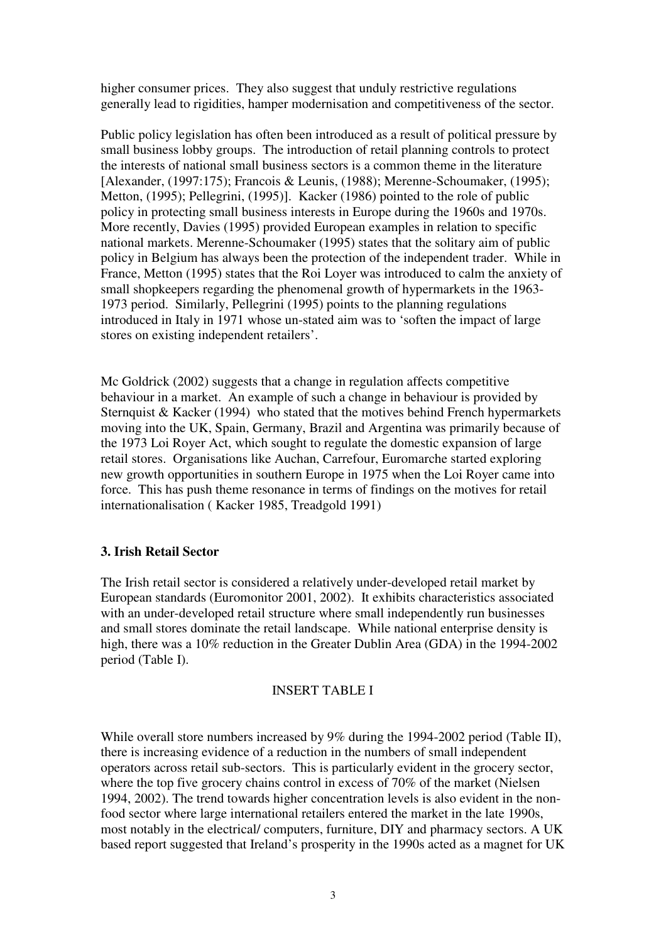higher consumer prices. They also suggest that unduly restrictive regulations generally lead to rigidities, hamper modernisation and competitiveness of the sector.

Public policy legislation has often been introduced as a result of political pressure by small business lobby groups. The introduction of retail planning controls to protect the interests of national small business sectors is a common theme in the literature [Alexander, (1997:175); Francois & Leunis, (1988); Merenne-Schoumaker, (1995); Metton, (1995); Pellegrini, (1995)]. Kacker (1986) pointed to the role of public policy in protecting small business interests in Europe during the 1960s and 1970s. More recently, Davies (1995) provided European examples in relation to specific national markets. Merenne-Schoumaker (1995) states that the solitary aim of public policy in Belgium has always been the protection of the independent trader. While in France, Metton (1995) states that the Roi Loyer was introduced to calm the anxiety of small shopkeepers regarding the phenomenal growth of hypermarkets in the 1963- 1973 period. Similarly, Pellegrini (1995) points to the planning regulations introduced in Italy in 1971 whose un-stated aim was to 'soften the impact of large stores on existing independent retailers'.

Mc Goldrick (2002) suggests that a change in regulation affects competitive behaviour in a market. An example of such a change in behaviour is provided by Sternquist & Kacker (1994) who stated that the motives behind French hypermarkets moving into the UK, Spain, Germany, Brazil and Argentina was primarily because of the 1973 Loi Royer Act, which sought to regulate the domestic expansion of large retail stores. Organisations like Auchan, Carrefour, Euromarche started exploring new growth opportunities in southern Europe in 1975 when the Loi Royer came into force. This has push theme resonance in terms of findings on the motives for retail internationalisation ( Kacker 1985, Treadgold 1991)

#### **3. Irish Retail Sector**

The Irish retail sector is considered a relatively under-developed retail market by European standards (Euromonitor 2001, 2002). It exhibits characteristics associated with an under-developed retail structure where small independently run businesses and small stores dominate the retail landscape. While national enterprise density is high, there was a 10% reduction in the Greater Dublin Area (GDA) in the 1994-2002 period (Table I).

#### INSERT TABLE I

While overall store numbers increased by 9% during the 1994-2002 period (Table II), there is increasing evidence of a reduction in the numbers of small independent operators across retail sub-sectors. This is particularly evident in the grocery sector, where the top five grocery chains control in excess of 70% of the market (Nielsen 1994, 2002). The trend towards higher concentration levels is also evident in the nonfood sector where large international retailers entered the market in the late 1990s, most notably in the electrical/ computers, furniture, DIY and pharmacy sectors. A UK based report suggested that Ireland's prosperity in the 1990s acted as a magnet for UK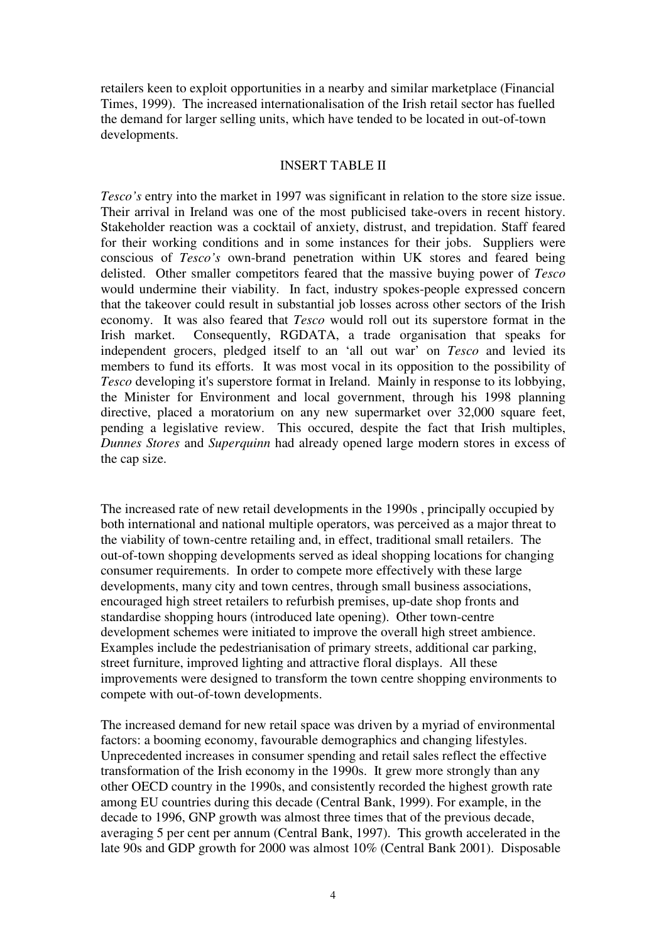retailers keen to exploit opportunities in a nearby and similar marketplace (Financial Times, 1999). The increased internationalisation of the Irish retail sector has fuelled the demand for larger selling units, which have tended to be located in out-of-town developments.

#### INSERT TABLE II

*Tesco's* entry into the market in 1997 was significant in relation to the store size issue. Their arrival in Ireland was one of the most publicised take-overs in recent history. Stakeholder reaction was a cocktail of anxiety, distrust, and trepidation. Staff feared for their working conditions and in some instances for their jobs. Suppliers were conscious of *Tesco's* own-brand penetration within UK stores and feared being delisted. Other smaller competitors feared that the massive buying power of *Tesco* would undermine their viability. In fact, industry spokes-people expressed concern that the takeover could result in substantial job losses across other sectors of the Irish economy. It was also feared that *Tesco* would roll out its superstore format in the Irish market. Consequently, RGDATA, a trade organisation that speaks for independent grocers, pledged itself to an 'all out war' on *Tesco* and levied its members to fund its efforts. It was most vocal in its opposition to the possibility of *Tesco* developing it's superstore format in Ireland. Mainly in response to its lobbying, the Minister for Environment and local government, through his 1998 planning directive, placed a moratorium on any new supermarket over 32,000 square feet, pending a legislative review. This occured, despite the fact that Irish multiples, *Dunnes Stores* and *Superquinn* had already opened large modern stores in excess of the cap size.

The increased rate of new retail developments in the 1990s , principally occupied by both international and national multiple operators, was perceived as a major threat to the viability of town-centre retailing and, in effect, traditional small retailers. The out-of-town shopping developments served as ideal shopping locations for changing consumer requirements. In order to compete more effectively with these large developments, many city and town centres, through small business associations, encouraged high street retailers to refurbish premises, up-date shop fronts and standardise shopping hours (introduced late opening). Other town-centre development schemes were initiated to improve the overall high street ambience. Examples include the pedestrianisation of primary streets, additional car parking, street furniture, improved lighting and attractive floral displays. All these improvements were designed to transform the town centre shopping environments to compete with out-of-town developments.

The increased demand for new retail space was driven by a myriad of environmental factors: a booming economy, favourable demographics and changing lifestyles. Unprecedented increases in consumer spending and retail sales reflect the effective transformation of the Irish economy in the 1990s. It grew more strongly than any other OECD country in the 1990s, and consistently recorded the highest growth rate among EU countries during this decade (Central Bank, 1999). For example, in the decade to 1996, GNP growth was almost three times that of the previous decade, averaging 5 per cent per annum (Central Bank, 1997). This growth accelerated in the late 90s and GDP growth for 2000 was almost 10% (Central Bank 2001). Disposable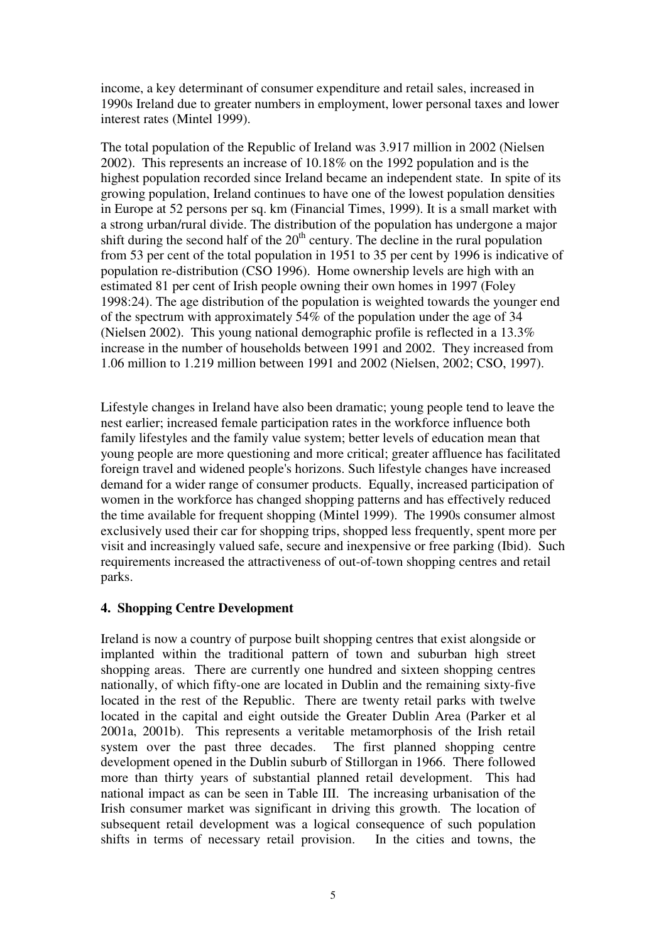income, a key determinant of consumer expenditure and retail sales, increased in 1990s Ireland due to greater numbers in employment, lower personal taxes and lower interest rates (Mintel 1999).

The total population of the Republic of Ireland was 3.917 million in 2002 (Nielsen 2002). This represents an increase of 10.18% on the 1992 population and is the highest population recorded since Ireland became an independent state. In spite of its growing population, Ireland continues to have one of the lowest population densities in Europe at 52 persons per sq. km (Financial Times, 1999). It is a small market with a strong urban/rural divide. The distribution of the population has undergone a major shift during the second half of the  $20<sup>th</sup>$  century. The decline in the rural population from 53 per cent of the total population in 1951 to 35 per cent by 1996 is indicative of population re-distribution (CSO 1996). Home ownership levels are high with an estimated 81 per cent of Irish people owning their own homes in 1997 (Foley 1998:24). The age distribution of the population is weighted towards the younger end of the spectrum with approximately 54% of the population under the age of 34 (Nielsen 2002). This young national demographic profile is reflected in a 13.3% increase in the number of households between 1991 and 2002. They increased from 1.06 million to 1.219 million between 1991 and 2002 (Nielsen, 2002; CSO, 1997).

Lifestyle changes in Ireland have also been dramatic; young people tend to leave the nest earlier; increased female participation rates in the workforce influence both family lifestyles and the family value system; better levels of education mean that young people are more questioning and more critical; greater affluence has facilitated foreign travel and widened people's horizons. Such lifestyle changes have increased demand for a wider range of consumer products. Equally, increased participation of women in the workforce has changed shopping patterns and has effectively reduced the time available for frequent shopping (Mintel 1999). The 1990s consumer almost exclusively used their car for shopping trips, shopped less frequently, spent more per visit and increasingly valued safe, secure and inexpensive or free parking (Ibid). Such requirements increased the attractiveness of out-of-town shopping centres and retail parks.

# **4. Shopping Centre Development**

Ireland is now a country of purpose built shopping centres that exist alongside or implanted within the traditional pattern of town and suburban high street shopping areas. There are currently one hundred and sixteen shopping centres nationally, of which fifty-one are located in Dublin and the remaining sixty-five located in the rest of the Republic. There are twenty retail parks with twelve located in the capital and eight outside the Greater Dublin Area (Parker et al 2001a, 2001b). This represents a veritable metamorphosis of the Irish retail system over the past three decades. The first planned shopping centre development opened in the Dublin suburb of Stillorgan in 1966. There followed more than thirty years of substantial planned retail development. This had national impact as can be seen in Table III. The increasing urbanisation of the Irish consumer market was significant in driving this growth. The location of subsequent retail development was a logical consequence of such population shifts in terms of necessary retail provision. In the cities and towns, the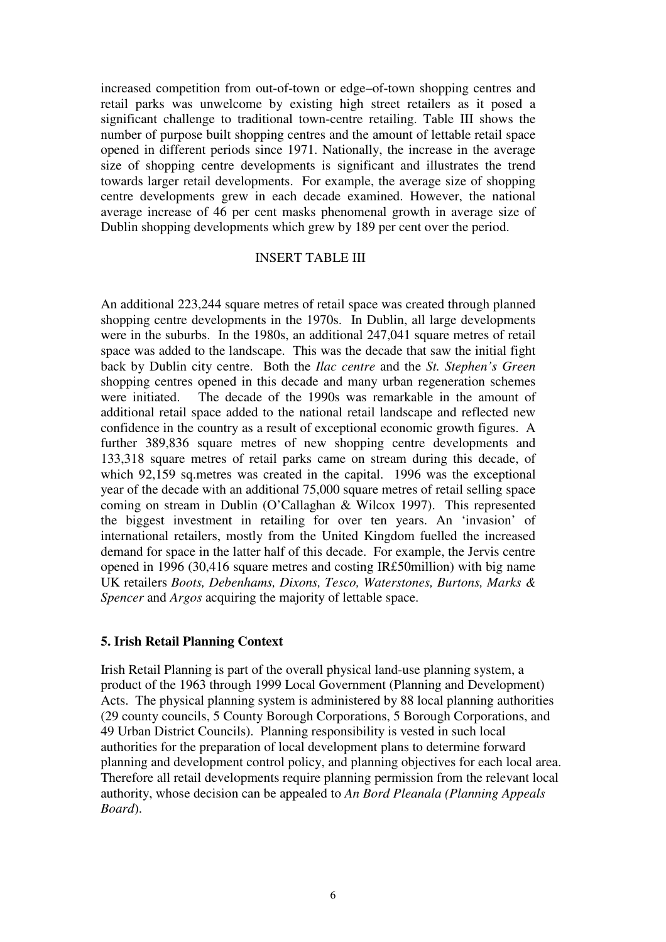increased competition from out-of-town or edge–of-town shopping centres and retail parks was unwelcome by existing high street retailers as it posed a significant challenge to traditional town-centre retailing. Table III shows the number of purpose built shopping centres and the amount of lettable retail space opened in different periods since 1971. Nationally, the increase in the average size of shopping centre developments is significant and illustrates the trend towards larger retail developments. For example, the average size of shopping centre developments grew in each decade examined. However, the national average increase of 46 per cent masks phenomenal growth in average size of Dublin shopping developments which grew by 189 per cent over the period.

#### INSERT TABLE III

An additional 223,244 square metres of retail space was created through planned shopping centre developments in the 1970s. In Dublin, all large developments were in the suburbs. In the 1980s, an additional 247,041 square metres of retail space was added to the landscape. This was the decade that saw the initial fight back by Dublin city centre. Both the *Ilac centre* and the *St. Stephen's Green* shopping centres opened in this decade and many urban regeneration schemes were initiated. The decade of the 1990s was remarkable in the amount of additional retail space added to the national retail landscape and reflected new confidence in the country as a result of exceptional economic growth figures. A further 389,836 square metres of new shopping centre developments and 133,318 square metres of retail parks came on stream during this decade, of which 92,159 sq.metres was created in the capital. 1996 was the exceptional year of the decade with an additional 75,000 square metres of retail selling space coming on stream in Dublin (O'Callaghan & Wilcox 1997). This represented the biggest investment in retailing for over ten years. An 'invasion' of international retailers, mostly from the United Kingdom fuelled the increased demand for space in the latter half of this decade. For example, the Jervis centre opened in 1996 (30,416 square metres and costing IR£50million) with big name UK retailers *Boots, Debenhams, Dixons, Tesco, Waterstones, Burtons, Marks & Spencer* and *Argos* acquiring the majority of lettable space.

#### **5. Irish Retail Planning Context**

Irish Retail Planning is part of the overall physical land-use planning system, a product of the 1963 through 1999 Local Government (Planning and Development) Acts. The physical planning system is administered by 88 local planning authorities (29 county councils, 5 County Borough Corporations, 5 Borough Corporations, and 49 Urban District Councils). Planning responsibility is vested in such local authorities for the preparation of local development plans to determine forward planning and development control policy, and planning objectives for each local area. Therefore all retail developments require planning permission from the relevant local authority, whose decision can be appealed to *An Bord Pleanala (Planning Appeals Board*).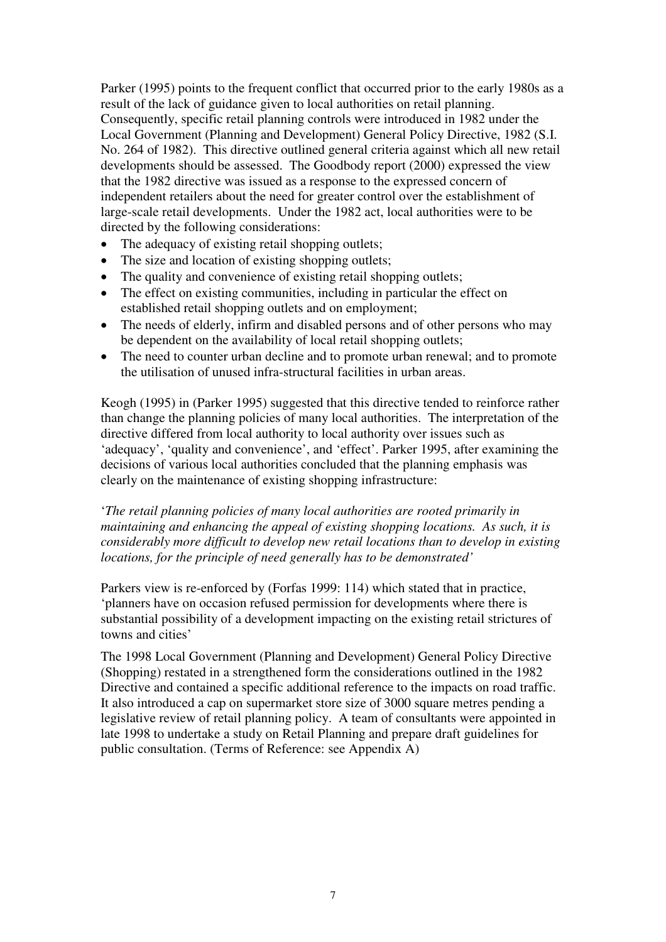Parker (1995) points to the frequent conflict that occurred prior to the early 1980s as a result of the lack of guidance given to local authorities on retail planning. Consequently, specific retail planning controls were introduced in 1982 under the Local Government (Planning and Development) General Policy Directive, 1982 (S.I. No. 264 of 1982). This directive outlined general criteria against which all new retail developments should be assessed. The Goodbody report (2000) expressed the view that the 1982 directive was issued as a response to the expressed concern of independent retailers about the need for greater control over the establishment of large-scale retail developments. Under the 1982 act, local authorities were to be directed by the following considerations:

- The adequacy of existing retail shopping outlets;
- The size and location of existing shopping outlets;
- The quality and convenience of existing retail shopping outlets;
- The effect on existing communities, including in particular the effect on established retail shopping outlets and on employment;
- The needs of elderly, infirm and disabled persons and of other persons who may be dependent on the availability of local retail shopping outlets;
- The need to counter urban decline and to promote urban renewal; and to promote the utilisation of unused infra-structural facilities in urban areas.

Keogh (1995) in (Parker 1995) suggested that this directive tended to reinforce rather than change the planning policies of many local authorities. The interpretation of the directive differed from local authority to local authority over issues such as 'adequacy', 'quality and convenience', and 'effect'. Parker 1995, after examining the decisions of various local authorities concluded that the planning emphasis was clearly on the maintenance of existing shopping infrastructure:

'*The retail planning policies of many local authorities are rooted primarily in maintaining and enhancing the appeal of existing shopping locations. As such, it is considerably more difficult to develop new retail locations than to develop in existing locations, for the principle of need generally has to be demonstrated'*

Parkers view is re-enforced by (Forfas 1999: 114) which stated that in practice, 'planners have on occasion refused permission for developments where there is substantial possibility of a development impacting on the existing retail strictures of towns and cities'

The 1998 Local Government (Planning and Development) General Policy Directive (Shopping) restated in a strengthened form the considerations outlined in the 1982 Directive and contained a specific additional reference to the impacts on road traffic. It also introduced a cap on supermarket store size of 3000 square metres pending a legislative review of retail planning policy. A team of consultants were appointed in late 1998 to undertake a study on Retail Planning and prepare draft guidelines for public consultation. (Terms of Reference: see Appendix A)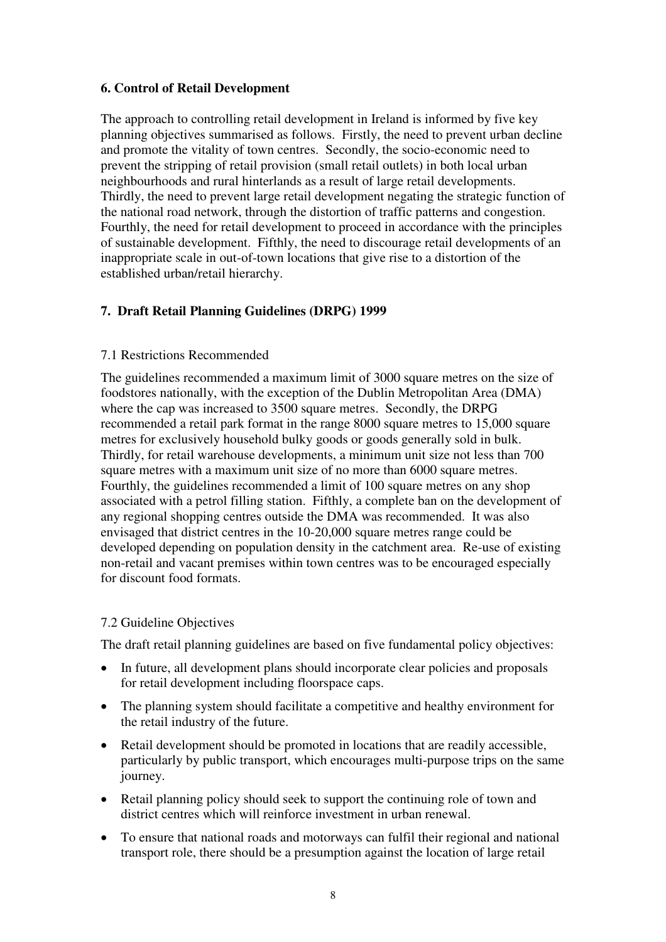#### **6. Control of Retail Development**

The approach to controlling retail development in Ireland is informed by five key planning objectives summarised as follows. Firstly, the need to prevent urban decline and promote the vitality of town centres. Secondly, the socio-economic need to prevent the stripping of retail provision (small retail outlets) in both local urban neighbourhoods and rural hinterlands as a result of large retail developments. Thirdly, the need to prevent large retail development negating the strategic function of the national road network, through the distortion of traffic patterns and congestion. Fourthly, the need for retail development to proceed in accordance with the principles of sustainable development. Fifthly, the need to discourage retail developments of an inappropriate scale in out-of-town locations that give rise to a distortion of the established urban/retail hierarchy.

# **7. Draft Retail Planning Guidelines (DRPG) 1999**

#### 7.1 Restrictions Recommended

The guidelines recommended a maximum limit of 3000 square metres on the size of foodstores nationally, with the exception of the Dublin Metropolitan Area (DMA) where the cap was increased to 3500 square metres. Secondly, the DRPG recommended a retail park format in the range 8000 square metres to 15,000 square metres for exclusively household bulky goods or goods generally sold in bulk. Thirdly, for retail warehouse developments, a minimum unit size not less than 700 square metres with a maximum unit size of no more than 6000 square metres. Fourthly, the guidelines recommended a limit of 100 square metres on any shop associated with a petrol filling station. Fifthly, a complete ban on the development of any regional shopping centres outside the DMA was recommended. It was also envisaged that district centres in the 10-20,000 square metres range could be developed depending on population density in the catchment area. Re-use of existing non-retail and vacant premises within town centres was to be encouraged especially for discount food formats.

#### 7.2 Guideline Objectives

The draft retail planning guidelines are based on five fundamental policy objectives:

- In future, all development plans should incorporate clear policies and proposals for retail development including floorspace caps.
- The planning system should facilitate a competitive and healthy environment for the retail industry of the future.
- Retail development should be promoted in locations that are readily accessible, particularly by public transport, which encourages multi-purpose trips on the same journey.
- Retail planning policy should seek to support the continuing role of town and district centres which will reinforce investment in urban renewal.
- To ensure that national roads and motorways can fulfil their regional and national transport role, there should be a presumption against the location of large retail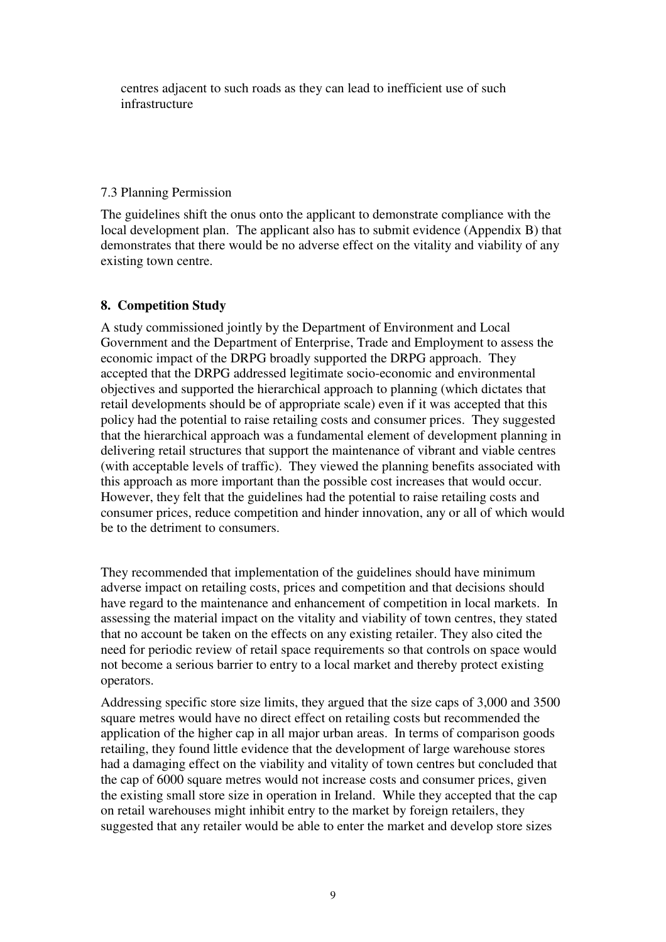centres adjacent to such roads as they can lead to inefficient use of such infrastructure

#### 7.3 Planning Permission

The guidelines shift the onus onto the applicant to demonstrate compliance with the local development plan. The applicant also has to submit evidence (Appendix B) that demonstrates that there would be no adverse effect on the vitality and viability of any existing town centre.

# **8. Competition Study**

A study commissioned jointly by the Department of Environment and Local Government and the Department of Enterprise, Trade and Employment to assess the economic impact of the DRPG broadly supported the DRPG approach. They accepted that the DRPG addressed legitimate socio-economic and environmental objectives and supported the hierarchical approach to planning (which dictates that retail developments should be of appropriate scale) even if it was accepted that this policy had the potential to raise retailing costs and consumer prices. They suggested that the hierarchical approach was a fundamental element of development planning in delivering retail structures that support the maintenance of vibrant and viable centres (with acceptable levels of traffic). They viewed the planning benefits associated with this approach as more important than the possible cost increases that would occur. However, they felt that the guidelines had the potential to raise retailing costs and consumer prices, reduce competition and hinder innovation, any or all of which would be to the detriment to consumers.

They recommended that implementation of the guidelines should have minimum adverse impact on retailing costs, prices and competition and that decisions should have regard to the maintenance and enhancement of competition in local markets. In assessing the material impact on the vitality and viability of town centres, they stated that no account be taken on the effects on any existing retailer. They also cited the need for periodic review of retail space requirements so that controls on space would not become a serious barrier to entry to a local market and thereby protect existing operators.

Addressing specific store size limits, they argued that the size caps of 3,000 and 3500 square metres would have no direct effect on retailing costs but recommended the application of the higher cap in all major urban areas. In terms of comparison goods retailing, they found little evidence that the development of large warehouse stores had a damaging effect on the viability and vitality of town centres but concluded that the cap of 6000 square metres would not increase costs and consumer prices, given the existing small store size in operation in Ireland. While they accepted that the cap on retail warehouses might inhibit entry to the market by foreign retailers, they suggested that any retailer would be able to enter the market and develop store sizes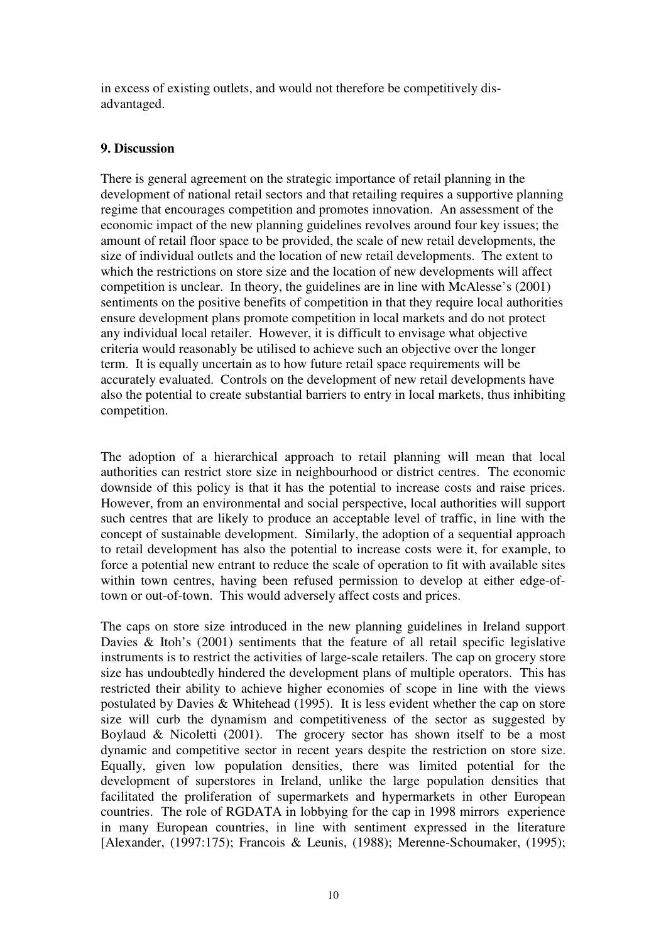in excess of existing outlets, and would not therefore be competitively disadvantaged.

## **9. Discussion**

There is general agreement on the strategic importance of retail planning in the development of national retail sectors and that retailing requires a supportive planning regime that encourages competition and promotes innovation. An assessment of the economic impact of the new planning guidelines revolves around four key issues; the amount of retail floor space to be provided, the scale of new retail developments, the size of individual outlets and the location of new retail developments. The extent to which the restrictions on store size and the location of new developments will affect competition is unclear. In theory, the guidelines are in line with McAlesse's (2001) sentiments on the positive benefits of competition in that they require local authorities ensure development plans promote competition in local markets and do not protect any individual local retailer. However, it is difficult to envisage what objective criteria would reasonably be utilised to achieve such an objective over the longer term. It is equally uncertain as to how future retail space requirements will be accurately evaluated. Controls on the development of new retail developments have also the potential to create substantial barriers to entry in local markets, thus inhibiting competition.

The adoption of a hierarchical approach to retail planning will mean that local authorities can restrict store size in neighbourhood or district centres. The economic downside of this policy is that it has the potential to increase costs and raise prices. However, from an environmental and social perspective, local authorities will support such centres that are likely to produce an acceptable level of traffic, in line with the concept of sustainable development. Similarly, the adoption of a sequential approach to retail development has also the potential to increase costs were it, for example, to force a potential new entrant to reduce the scale of operation to fit with available sites within town centres, having been refused permission to develop at either edge-oftown or out-of-town. This would adversely affect costs and prices.

The caps on store size introduced in the new planning guidelines in Ireland support Davies & Itoh's (2001) sentiments that the feature of all retail specific legislative instruments is to restrict the activities of large-scale retailers. The cap on grocery store size has undoubtedly hindered the development plans of multiple operators. This has restricted their ability to achieve higher economies of scope in line with the views postulated by Davies & Whitehead (1995). It is less evident whether the cap on store size will curb the dynamism and competitiveness of the sector as suggested by Boylaud & Nicoletti  $(2001)$ . The grocery sector has shown itself to be a most dynamic and competitive sector in recent years despite the restriction on store size. Equally, given low population densities, there was limited potential for the development of superstores in Ireland, unlike the large population densities that facilitated the proliferation of supermarkets and hypermarkets in other European countries. The role of RGDATA in lobbying for the cap in 1998 mirrors experience in many European countries, in line with sentiment expressed in the literature [Alexander, (1997:175); Francois & Leunis, (1988); Merenne-Schoumaker, (1995);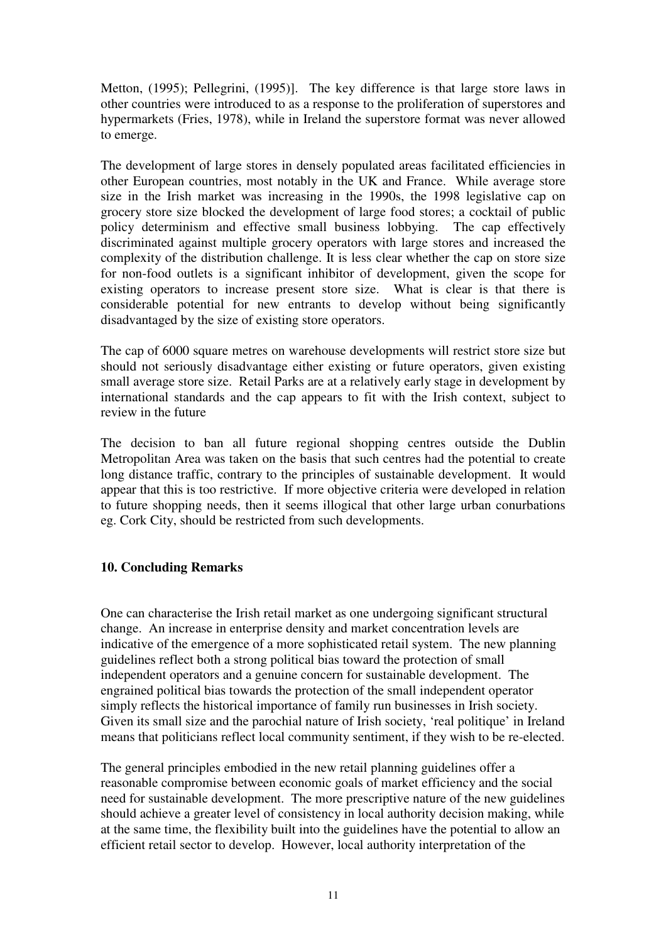Metton, (1995); Pellegrini, (1995)]. The key difference is that large store laws in other countries were introduced to as a response to the proliferation of superstores and hypermarkets (Fries, 1978), while in Ireland the superstore format was never allowed to emerge.

The development of large stores in densely populated areas facilitated efficiencies in other European countries, most notably in the UK and France. While average store size in the Irish market was increasing in the 1990s, the 1998 legislative cap on grocery store size blocked the development of large food stores; a cocktail of public policy determinism and effective small business lobbying. The cap effectively discriminated against multiple grocery operators with large stores and increased the complexity of the distribution challenge. It is less clear whether the cap on store size for non-food outlets is a significant inhibitor of development, given the scope for existing operators to increase present store size. What is clear is that there is considerable potential for new entrants to develop without being significantly disadvantaged by the size of existing store operators.

The cap of 6000 square metres on warehouse developments will restrict store size but should not seriously disadvantage either existing or future operators, given existing small average store size. Retail Parks are at a relatively early stage in development by international standards and the cap appears to fit with the Irish context, subject to review in the future

The decision to ban all future regional shopping centres outside the Dublin Metropolitan Area was taken on the basis that such centres had the potential to create long distance traffic, contrary to the principles of sustainable development. It would appear that this is too restrictive. If more objective criteria were developed in relation to future shopping needs, then it seems illogical that other large urban conurbations eg. Cork City, should be restricted from such developments.

# **10. Concluding Remarks**

One can characterise the Irish retail market as one undergoing significant structural change. An increase in enterprise density and market concentration levels are indicative of the emergence of a more sophisticated retail system. The new planning guidelines reflect both a strong political bias toward the protection of small independent operators and a genuine concern for sustainable development. The engrained political bias towards the protection of the small independent operator simply reflects the historical importance of family run businesses in Irish society. Given its small size and the parochial nature of Irish society, 'real politique' in Ireland means that politicians reflect local community sentiment, if they wish to be re-elected.

The general principles embodied in the new retail planning guidelines offer a reasonable compromise between economic goals of market efficiency and the social need for sustainable development. The more prescriptive nature of the new guidelines should achieve a greater level of consistency in local authority decision making, while at the same time, the flexibility built into the guidelines have the potential to allow an efficient retail sector to develop. However, local authority interpretation of the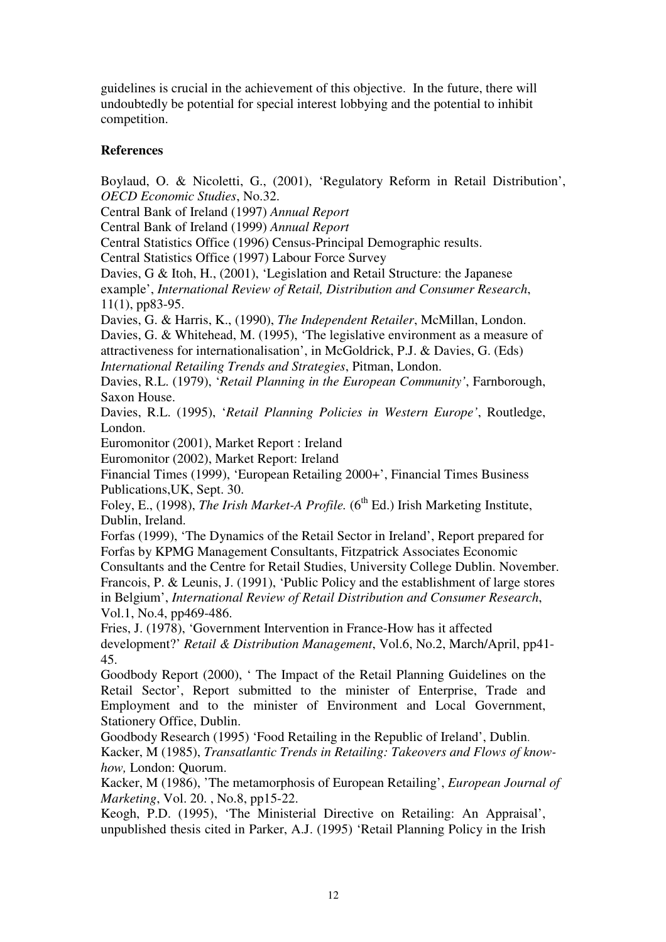guidelines is crucial in the achievement of this objective. In the future, there will undoubtedly be potential for special interest lobbying and the potential to inhibit competition.

#### **References**

Boylaud, O. & Nicoletti, G., (2001), 'Regulatory Reform in Retail Distribution', *OECD Economic Studies*, No.32.

Central Bank of Ireland (1997) *Annual Report*

Central Bank of Ireland (1999) *Annual Report*

Central Statistics Office (1996) Census-Principal Demographic results.

Central Statistics Office (1997) Labour Force Survey

Davies, G & Itoh, H., (2001), 'Legislation and Retail Structure: the Japanese example', *International Review of Retail, Distribution and Consumer Research*, 11(1), pp83-95.

Davies, G. & Harris, K., (1990), *The Independent Retailer*, McMillan, London. Davies, G. & Whitehead, M. (1995), 'The legislative environment as a measure of attractiveness for internationalisation', in McGoldrick, P.J. & Davies, G. (Eds) *International Retailing Trends and Strategies*, Pitman, London.

Davies, R.L. (1979), '*Retail Planning in the European Community'*, Farnborough, Saxon House.

Davies, R.L. (1995), '*Retail Planning Policies in Western Europe'*, Routledge, London.

Euromonitor (2001), Market Report : Ireland

Euromonitor (2002), Market Report: Ireland

Financial Times (1999), 'European Retailing 2000+', Financial Times Business Publications,UK, Sept. 30.

Foley, E., (1998), *The Irish Market-A Profile.* (6<sup>th</sup> Ed.) Irish Marketing Institute, Dublin, Ireland.

Forfas (1999), 'The Dynamics of the Retail Sector in Ireland', Report prepared for Forfas by KPMG Management Consultants, Fitzpatrick Associates Economic Consultants and the Centre for Retail Studies, University College Dublin. November. Francois, P. & Leunis, J. (1991), 'Public Policy and the establishment of large stores in Belgium', *International Review of Retail Distribution and Consumer Research*, Vol.1, No.4, pp469-486.

Fries, J. (1978), 'Government Intervention in France-How has it affected development?' *Retail & Distribution Management*, Vol.6, No.2, March/April, pp41- 45.

Goodbody Report (2000), ' The Impact of the Retail Planning Guidelines on the Retail Sector', Report submitted to the minister of Enterprise, Trade and Employment and to the minister of Environment and Local Government, Stationery Office, Dublin.

Goodbody Research (1995) 'Food Retailing in the Republic of Ireland', Dublin. Kacker, M (1985), *Transatlantic Trends in Retailing: Takeovers and Flows of knowhow,* London: Quorum.

Kacker, M (1986), 'The metamorphosis of European Retailing', *European Journal of Marketing*, Vol. 20. , No.8, pp15-22.

Keogh, P.D. (1995), 'The Ministerial Directive on Retailing: An Appraisal', unpublished thesis cited in Parker, A.J. (1995) 'Retail Planning Policy in the Irish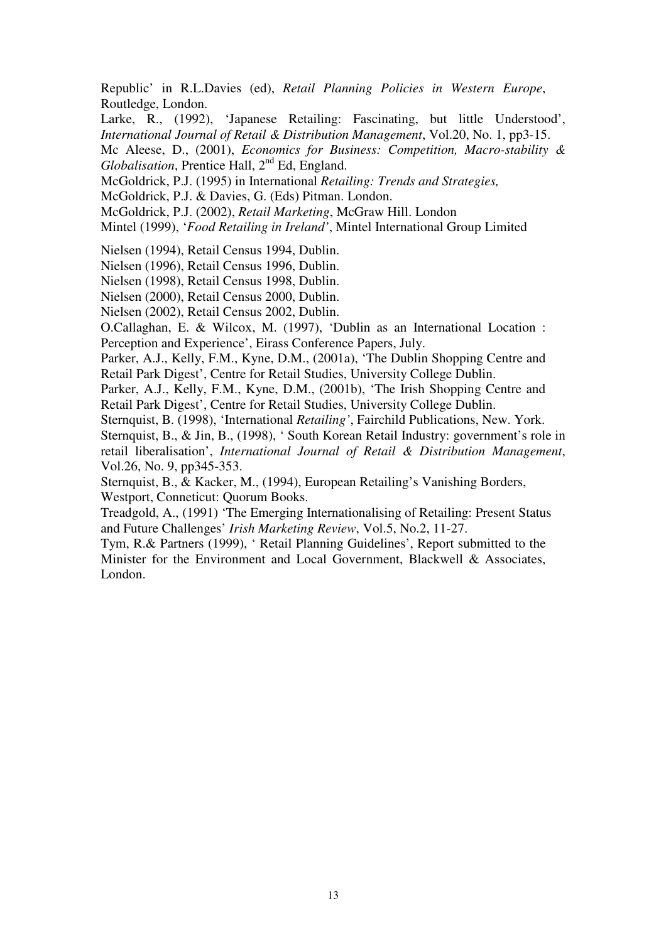Republic' in R.L.Davies (ed), *Retail Planning Policies in Western Europe*, Routledge, London.

Larke, R., (1992), 'Japanese Retailing: Fascinating, but little Understood', *International Journal of Retail & Distribution Management*, Vol.20, No. 1, pp3-15.

Mc Aleese, D., (2001), *Economics for Business: Competition, Macro-stability & Globalisation*, Prentice Hall, 2<sup>nd</sup> Ed, England.

McGoldrick, P.J. (1995) in International *Retailing: Trends and Strategies,* 

McGoldrick, P.J. & Davies, G. (Eds) Pitman. London.

McGoldrick, P.J. (2002), *Retail Marketing*, McGraw Hill. London

Mintel (1999), '*Food Retailing in Ireland'*, Mintel International Group Limited

Nielsen (1994), Retail Census 1994, Dublin.

Nielsen (1996), Retail Census 1996, Dublin.

Nielsen (1998), Retail Census 1998, Dublin.

Nielsen (2000), Retail Census 2000, Dublin.

Nielsen (2002), Retail Census 2002, Dublin.

O.Callaghan, E. & Wilcox, M. (1997), 'Dublin as an International Location : Perception and Experience', Eirass Conference Papers, July.

Parker, A.J., Kelly, F.M., Kyne, D.M., (2001a), 'The Dublin Shopping Centre and Retail Park Digest', Centre for Retail Studies, University College Dublin.

Parker, A.J., Kelly, F.M., Kyne, D.M., (2001b), 'The Irish Shopping Centre and Retail Park Digest', Centre for Retail Studies, University College Dublin.

Sternquist, B. (1998), 'International *Retailing'*, Fairchild Publications, New. York.

Sternquist, B., & Jin, B., (1998), ' South Korean Retail Industry: government's role in retail liberalisation', *International Journal of Retail & Distribution Management*, Vol.26, No. 9, pp345-353.

Sternquist, B., & Kacker, M., (1994), European Retailing's Vanishing Borders, Westport, Conneticut: Quorum Books.

Treadgold, A., (1991) 'The Emerging Internationalising of Retailing: Present Status and Future Challenges' *Irish Marketing Review*, Vol.5, No.2, 11-27.

Tym, R.& Partners (1999), ' Retail Planning Guidelines', Report submitted to the Minister for the Environment and Local Government, Blackwell & Associates, London.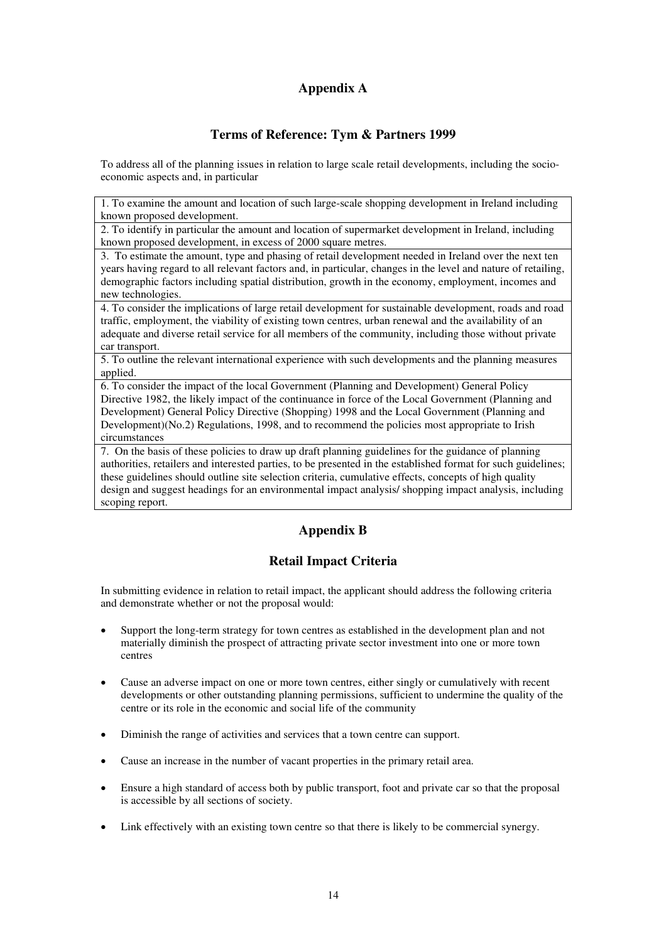# **Appendix A**

## **Terms of Reference: Tym & Partners 1999**

To address all of the planning issues in relation to large scale retail developments, including the socioeconomic aspects and, in particular

1. To examine the amount and location of such large-scale shopping development in Ireland including known proposed development.

2. To identify in particular the amount and location of supermarket development in Ireland, including known proposed development, in excess of 2000 square metres.

3. To estimate the amount, type and phasing of retail development needed in Ireland over the next ten years having regard to all relevant factors and, in particular, changes in the level and nature of retailing, demographic factors including spatial distribution, growth in the economy, employment, incomes and new technologies.

4. To consider the implications of large retail development for sustainable development, roads and road traffic, employment, the viability of existing town centres, urban renewal and the availability of an adequate and diverse retail service for all members of the community, including those without private car transport.

5. To outline the relevant international experience with such developments and the planning measures applied.

6. To consider the impact of the local Government (Planning and Development) General Policy Directive 1982, the likely impact of the continuance in force of the Local Government (Planning and Development) General Policy Directive (Shopping) 1998 and the Local Government (Planning and Development)(No.2) Regulations, 1998, and to recommend the policies most appropriate to Irish circumstances

7. On the basis of these policies to draw up draft planning guidelines for the guidance of planning authorities, retailers and interested parties, to be presented in the established format for such guidelines; these guidelines should outline site selection criteria, cumulative effects, concepts of high quality design and suggest headings for an environmental impact analysis/ shopping impact analysis, including scoping report.

# **Appendix B**

# **Retail Impact Criteria**

In submitting evidence in relation to retail impact, the applicant should address the following criteria and demonstrate whether or not the proposal would:

- Support the long-term strategy for town centres as established in the development plan and not materially diminish the prospect of attracting private sector investment into one or more town centres
- Cause an adverse impact on one or more town centres, either singly or cumulatively with recent developments or other outstanding planning permissions, sufficient to undermine the quality of the centre or its role in the economic and social life of the community
- Diminish the range of activities and services that a town centre can support.
- Cause an increase in the number of vacant properties in the primary retail area.
- Ensure a high standard of access both by public transport, foot and private car so that the proposal is accessible by all sections of society.
- Link effectively with an existing town centre so that there is likely to be commercial synergy.